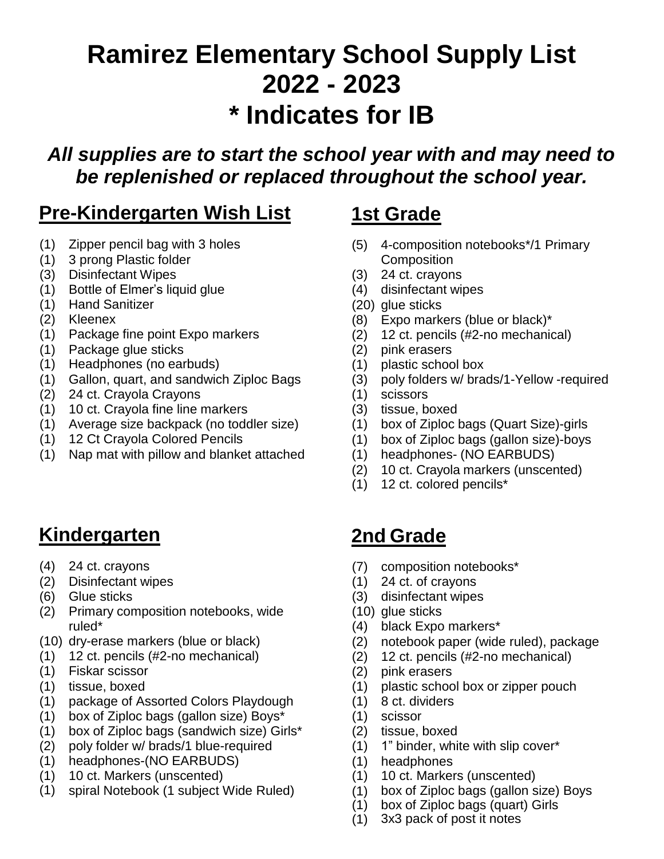# **Ramirez Elementary School Supply List 2022 - 2023 \* Indicates for IB**

*All supplies are to start the school year with and may need to be replenished or replaced throughout the school year.*

## **Pre-Kindergarten Wish List 1st Grade**

- 
- (1) 3 prong Plastic folder Composition
- (3) Disinfectant Wipes (3) 24 ct. crayons
- (1) Bottle of Elmer's liquid glue (4) disinfectant wipes
- (1) Hand Sanitizer (20) glue sticks
- 
- (1) Package fine point Expo markers (2) 12 ct. pencils (#2-no mechanical)
- (1) Package glue sticks (2) pink erasers
- (1) Headphones (no earbuds) (1) plastic school box
- (1) Gallon, quart, and sandwich Ziploc Bags (3) poly folders w/ brads/1-Yellow -required<br>(2) 24 ct. Crayola Crayons (1) scissors
- $(2)$  24 ct. Crayola Crayons
- (1) 10 ct. Crayola fine line markers (3) tissue, boxed
- (1) Average size backpack (no toddler size) (1) box of Ziploc bags (Quart Size)-girls
- 
- (1) Nap mat with pillow and blanket attached (1) headphones- (NO EARBUDS)

## **Kindergarten 2nd Grade**

- 
- (2) Disinfectant wipes (1) 24 ct. of crayons
- 
- (2) Primary composition notebooks, wide (10) glue sticks ruled\* (4) black Expo markers\*
- 
- (1) 12 ct. pencils (#2-no mechanical) (2) 12 ct. pencils (#2-no mechanical)
- (1) Fiskar scissor (2) pink erasers
- 
- (1) package of Assorted Colors Playdough (1) 8 ct. dividers
- (1) box of Ziploc bags (gallon size) Boys\* (1) scissor
- (1) box of Ziploc bags (sandwich size) Girls\* (2) tissue, boxed
- (2) poly folder w/ brads/1 blue-required (1) 1" binder, white with slip cover\*
- (1) headphones-(NO EARBUDS) (1) headphones
- (1) 10 ct. Markers (unscented) (1) 10 ct. Markers (unscented)
- (1) spiral Notebook (1 subject Wide Ruled) (1) box of Ziploc bags (gallon size) Boys

- (1) Zipper pencil bag with 3 holes (5) 4-composition notebooks\*/1 Primary
	-
	-
	-
- (2) Kleenex (8) Expo markers (blue or black)\*
	-
	-
	-
	-
	-
	-
	-
- (1) 12 Ct Crayola Colored Pencils (1) box of Ziploc bags (gallon size)-boys
	-
	- (2) 10 ct. Crayola markers (unscented)
	- (1) 12 ct. colored pencils\*

- (4) 24 ct. crayons (7) composition notebooks\*
	-
- (6) Glue sticks (3) disinfectant wipes
	-
	-
- (10) dry-erase markers (blue or black) (2) notebook paper (wide ruled), package
	-
	-
- (1) tissue, boxed (1) plastic school box or zipper pouch
	-
	-
	-
	-
	-
	-
	-
	- (1) box of Ziploc bags (quart) Girls
	- (1) 3x3 pack of post it notes